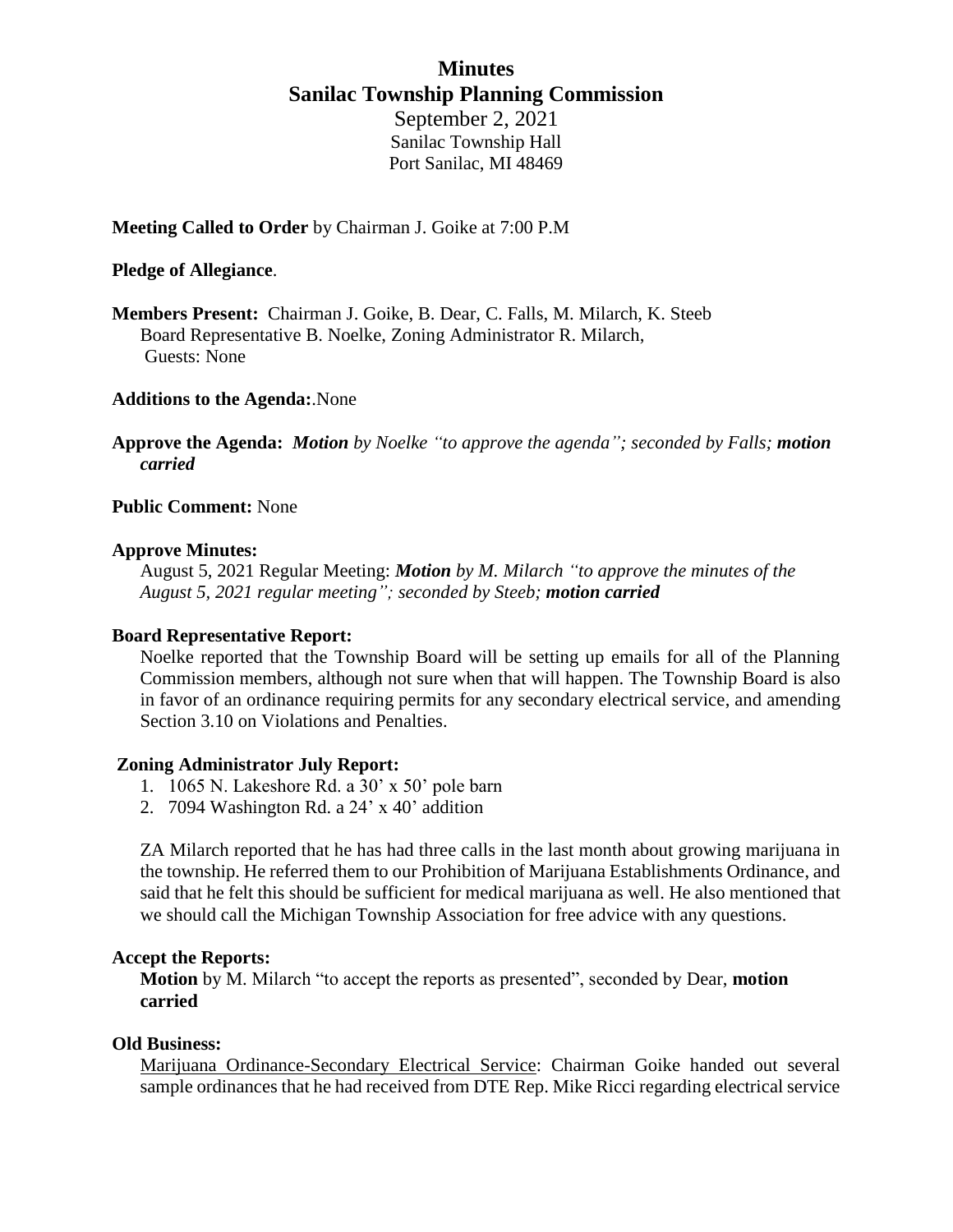## **Minutes Sanilac Township Planning Commission** September 2, 2021

Sanilac Township Hall Port Sanilac, MI 48469

## **Meeting Called to Order** by Chairman J. Goike at 7:00 P.M

#### **Pledge of Allegiance**.

**Members Present:** Chairman J. Goike, B. Dear, C. Falls, M. Milarch, K. Steeb Board Representative B. Noelke, Zoning Administrator R. Milarch, Guests: None

## **Additions to the Agenda:**.None

**Approve the Agenda:** *Motion by Noelke "to approve the agenda"; seconded by Falls; motion carried*

## **Public Comment:** None

#### **Approve Minutes:**

August 5, 2021 Regular Meeting: *Motion by M. Milarch "to approve the minutes of the August 5, 2021 regular meeting"; seconded by Steeb; motion carried*

#### **Board Representative Report:**

Noelke reported that the Township Board will be setting up emails for all of the Planning Commission members, although not sure when that will happen. The Township Board is also in favor of an ordinance requiring permits for any secondary electrical service, and amending Section 3.10 on Violations and Penalties.

#### **Zoning Administrator July Report:**

- 1. 1065 N. Lakeshore Rd. a 30' x 50' pole barn
- 2. 7094 Washington Rd. a 24' x 40' addition

ZA Milarch reported that he has had three calls in the last month about growing marijuana in the township. He referred them to our Prohibition of Marijuana Establishments Ordinance, and said that he felt this should be sufficient for medical marijuana as well. He also mentioned that we should call the Michigan Township Association for free advice with any questions.

#### **Accept the Reports:**

**Motion** by M. Milarch "to accept the reports as presented", seconded by Dear, **motion carried**

#### **Old Business:**

Marijuana Ordinance-Secondary Electrical Service: Chairman Goike handed out several sample ordinances that he had received from DTE Rep. Mike Ricci regarding electrical service